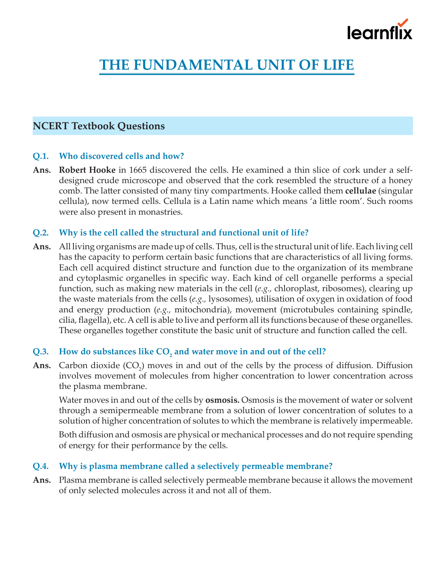

# **THE FUNDAMENTAL UNIT OF LIFE**

## **NCERT Textbook Questions**

#### **Q.1. Who discovered cells and how?**

**Ans. Robert Hooke** in 1665 discovered the cells. He examined a thin slice of cork under a selfdesigned crude microscope and observed that the cork resembled the structure of a honey comb. The latter consisted of many tiny compartments. Hooke called them **cellulae** (singular cellula), now termed cells. Cellula is a Latin name which means 'a little room'. Such rooms were also present in monastries.

#### **Q.2. Why is the cell called the structural and functional unit of life?**

**Ans.** All living organisms are made up of cells. Thus, cell is the structural unit of life. Each living cell has the capacity to perform certain basic functions that are characteristics of all living forms. Each cell acquired distinct structure and function due to the organization of its membrane and cytoplasmic organelles in specific way. Each kind of cell organelle performs a special function, such as making new materials in the cell (*e.g.,* chloroplast, ribosomes), clearing up the waste materials from the cells (*e.g.,* lysosomes), utilisation of oxygen in oxidation of food and energy production (*e.g.,* mitochondria), movement (microtubules containing spindle, cilia, flagella), etc. A cell is able to live and perform all its functions because of these organelles. These organelles together constitute the basic unit of structure and function called the cell.

## Q.3. How do substances like CO<sub>2</sub> and water move in and out of the cell?

**Ans.** Carbon dioxide  $(CO_2)$  moves in and out of the cells by the process of diffusion. Diffusion involves movement of molecules from higher concentration to lower concentration across the plasma membrane.

Water moves in and out of the cells by **osmosis.** Osmosis is the movement of water or solvent through a semipermeable membrane from a solution of lower concentration of solutes to a solution of higher concentration of solutes to which the membrane is relatively impermeable.

Both diffusion and osmosis are physical or mechanical processes and do not require spending of energy for their performance by the cells.

## **Q.4. Why is plasma membrane called a selectively permeable membrane?**

**Ans.** Plasma membrane is called selectively permeable membrane because it allows the movement of only selected molecules across it and not all of them.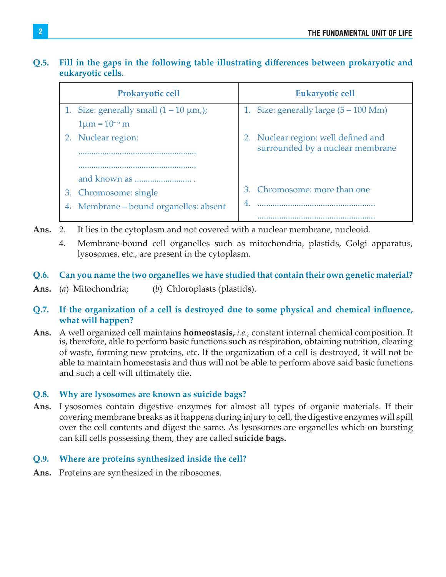## **Q.5. Fill in the gaps in the following table illustrating differences between prokaryotic and eukaryotic cells.**

|    | <b>Prokaryotic cell</b>                       |   | Eukaryotic cell                                 |
|----|-----------------------------------------------|---|-------------------------------------------------|
|    | 1. Size: generally small $(1 – 10 \mu m_i)$ ; |   | 1. Size: generally large $(5 - 100 \text{ Mm})$ |
|    | $1 \mu m = 10^{-6}$ m                         |   |                                                 |
|    | 2. Nuclear region:                            |   | 2. Nuclear region: well defined and             |
|    |                                               |   | surrounded by a nuclear membrane                |
|    |                                               |   |                                                 |
|    |                                               |   |                                                 |
| 3. | Chromosome: single                            |   | 3. Chromosome: more than one                    |
|    | 4. Membrane – bound organelles: absent        | 4 |                                                 |
|    |                                               |   |                                                 |

- **Ans.** 2. It lies in the cytoplasm and not covered with a nuclear membrane, nucleoid.
	- 4. Membrane-bound cell organelles such as mitochondria, plastids, Golgi apparatus, lysosomes, etc., are present in the cytoplasm.
- **Q.6. Can you name the two organelles we have studied that contain their own genetic material?**
- **Ans.** (*a*) Mitochondria; (*b*) Chloroplasts (plastids).

## **Q.7. If the organization of a cell is destroyed due to some physical and chemical influence, what will happen?**

**Ans.** A well organized cell maintains **homeostasis,** *i.e.,* constant internal chemical composition. It is, therefore, able to perform basic functions such as respiration, obtaining nutrition, clearing of waste, forming new proteins, etc. If the organization of a cell is destroyed, it will not be able to maintain homeostasis and thus will not be able to perform above said basic functions and such a cell will ultimately die.

## **Q.8. Why are lysosomes are known as suicide bags?**

**Ans.** Lysosomes contain digestive enzymes for almost all types of organic materials. If their covering membrane breaks as it happens during injury to cell, the digestive enzymes will spill over the cell contents and digest the same. As lysosomes are organelles which on bursting can kill cells possessing them, they are called **suicide bags.**

## **Q.9. Where are proteins synthesized inside the cell?**

**Ans.** Proteins are synthesized in the ribosomes.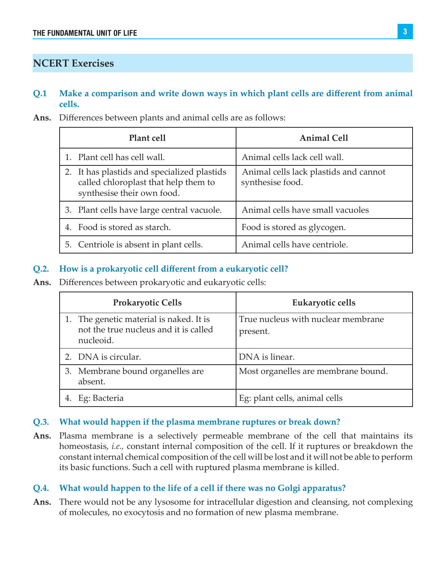## **NCERT Exercises**

#### **Q.1 Make a comparison and write down ways in which plant cells are different from animal cells.**

**Ans.** Differences between plants and animal cells are as follows:

| Plant cell                                                                                                        | <b>Animal Cell</b>                                        |
|-------------------------------------------------------------------------------------------------------------------|-----------------------------------------------------------|
| 1. Plant cell has cell wall.                                                                                      | Animal cells lack cell wall.                              |
| 2. It has plastids and specialized plastids<br>called chloroplast that help them to<br>synthesise their own food. | Animal cells lack plastids and cannot<br>synthesise food. |
| 3. Plant cells have large central vacuole.                                                                        | Animal cells have small vacuoles                          |
| 4. Food is stored as starch.                                                                                      | Food is stored as glycogen.                               |
| 5. Centriole is absent in plant cells.                                                                            | Animal cells have centriole.                              |

#### **Q.2. How is a prokaryotic cell different from a eukaryotic cell?**

**Ans.** Differences between prokaryotic and eukaryotic cells:

| <b>Prokaryotic Cells</b>                                                                      | Eukaryotic cells                               |
|-----------------------------------------------------------------------------------------------|------------------------------------------------|
| 1. The genetic material is naked. It is<br>not the true nucleus and it is called<br>nucleoid. | True nucleus with nuclear membrane<br>present. |
| 2. DNA is circular.                                                                           | DNA is linear.                                 |
| 3. Membrane bound organelles are<br>absent.                                                   | Most organelles are membrane bound.            |
| Eg: Bacteria                                                                                  | Eg: plant cells, animal cells                  |

#### **Q.3. What would happen if the plasma membrane ruptures or break down?**

**Ans.** Plasma membrane is a selectively permeable membrane of the cell that maintains its homeostasis, *i.e.,* constant internal composition of the cell. If it ruptures or breakdown the constant internal chemical composition of the cell will be lost and it will not be able to perform its basic functions. Such a cell with ruptured plasma membrane is killed.

#### **Q.4. What would happen to the life of a cell if there was no Golgi apparatus?**

**Ans.** There would not be any lysosome for intracellular digestion and cleansing, not complexing of molecules, no exocytosis and no formation of new plasma membrane.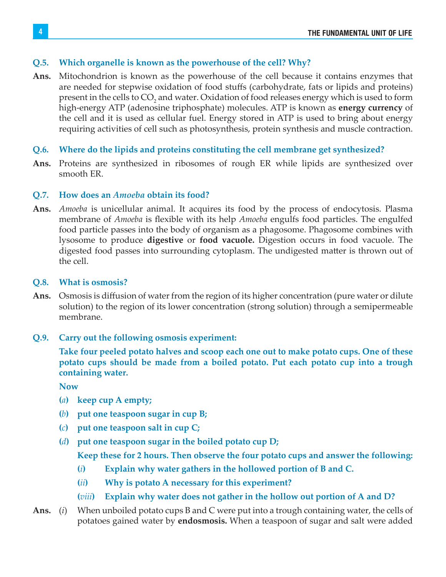#### **Q.5. Which organelle is known as the powerhouse of the cell? Why?**

- **Ans.** Mitochondrion is known as the powerhouse of the cell because it contains enzymes that are needed for stepwise oxidation of food stuffs (carbohydrate, fats or lipids and proteins) present in the cells to  $\mathrm{CO}_2$  and water. Oxidation of food releases energy which is used to form high-energy ATP (adenosine triphosphate) molecules. ATP is known as **energy currency** of the cell and it is used as cellular fuel. Energy stored in ATP is used to bring about energy requiring activities of cell such as photosynthesis, protein synthesis and muscle contraction.
- **Q.6. Where do the lipids and proteins constituting the cell membrane get synthesized?**
- **Ans.** Proteins are synthesized in ribosomes of rough ER while lipids are synthesized over smooth ER.

#### **Q.7. How does an** *Amoeba* **obtain its food?**

**Ans.** *Amoeba* is unicellular animal. It acquires its food by the process of endocytosis. Plasma membrane of *Amoeba* is flexible with its help *Amoeba* engulfs food particles. The engulfed food particle passes into the body of organism as a phagosome. Phagosome combines with lysosome to produce **digestive** or **food vacuole.** Digestion occurs in food vacuole. The digested food passes into surrounding cytoplasm. The undigested matter is thrown out of the cell.

#### **Q.8. What is osmosis?**

- **Ans.** Osmosis is diffusion of water from the region of its higher concentration (pure water or dilute solution) to the region of its lower concentration (strong solution) through a semipermeable membrane.
- **Q.9. Carry out the following osmosis experiment:**

**Take four peeled potato halves and scoop each one out to make potato cups. One of these potato cups should be made from a boiled potato. Put each potato cup into a trough containing water.** 

**Now**

- **(***a***) keep cup A empty;**
- **(***b***) put one teaspoon sugar in cup B;**
- **(***c***) put one teaspoon salt in cup C;**
- **(***d***) put one teaspoon sugar in the boiled potato cup D;**

 **Keep these for 2 hours. Then observe the four potato cups and answer the following:**

- **(***i***) Explain why water gathers in the hollowed portion of B and C.**
- **(***ii***) Why is potato A necessary for this experiment?**
- **(***viii***) Explain why water does not gather in the hollow out portion of A and D?**
- **Ans.** (*i*) When unboiled potato cups B and C were put into a trough containing water, the cells of potatoes gained water by **endosmosis.** When a teaspoon of sugar and salt were added